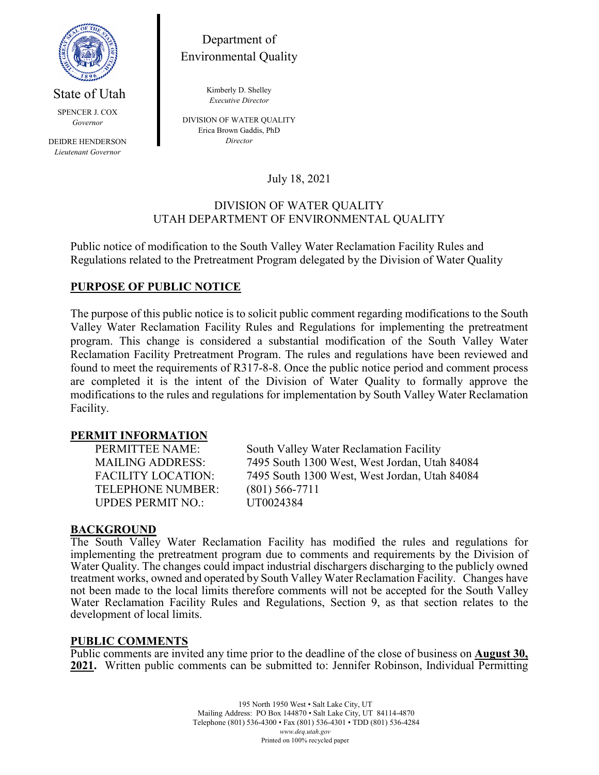

State of Utah

Department of Environmental Quality

> Kimberly D. Shelley *Executive Director*

SPENCER J. COX *Governor*

DEIDRE HENDERSON *Lieutenant Governor*

DIVISION OF WATER QUALITY Erica Brown Gaddis, PhD *Director*

July 18, 2021

### DIVISION OF WATER QUALITY UTAH DEPARTMENT OF ENVIRONMENTAL QUALITY

Public notice of modification to the South Valley Water Reclamation Facility Rules and Regulations related to the Pretreatment Program delegated by the Division of Water Quality

# **PURPOSE OF PUBLIC NOTICE**

The purpose of this public notice is to solicit public comment regarding modifications to the South Valley Water Reclamation Facility Rules and Regulations for implementing the pretreatment program. This change is considered a substantial modification of the South Valley Water Reclamation Facility Pretreatment Program. The rules and regulations have been reviewed and found to meet the requirements of R317-8-8. Once the public notice period and comment process are completed it is the intent of the Division of Water Quality to formally approve the modifications to the rules and regulations for implementation by South Valley Water Reclamation Facility.

#### **PERMIT INFORMATION**

TELEPHONE NUMBER: (801) 566-7711 UPDES PERMIT NO.: UT0024384

PERMITTEE NAME: South Valley Water Reclamation Facility MAILING ADDRESS: 7495 South 1300 West, West Jordan, Utah 84084 FACILITY LOCATION: 7495 South 1300 West, West Jordan, Utah 84084

## **BACKGROUND**

The South Valley Water Reclamation Facility has modified the rules and regulations for implementing the pretreatment program due to comments and requirements by the Division of Water Quality. The changes could impact industrial dischargers discharging to the publicly owned treatment works, owned and operated by South Valley Water Reclamation Facility. Changes have not been made to the local limits therefore comments will not be accepted for the South Valley Water Reclamation Facility Rules and Regulations, Section 9, as that section relates to the development of local limits.

#### **PUBLIC COMMENTS**

Public comments are invited any time prior to the deadline of the close of business on **August 30, 2021.** Written public comments can be submitted to: Jennifer Robinson, Individual Permitting

> 195 North 1950 West • Salt Lake City, UT Mailing Address: PO Box 144870 • Salt Lake City, UT 84114-4870 Telephone (801) 536-4300 • Fax (801) 536-4301 • TDD (801) 536-4284 *www.deq.utah.gov* Printed on 100% recycled paper